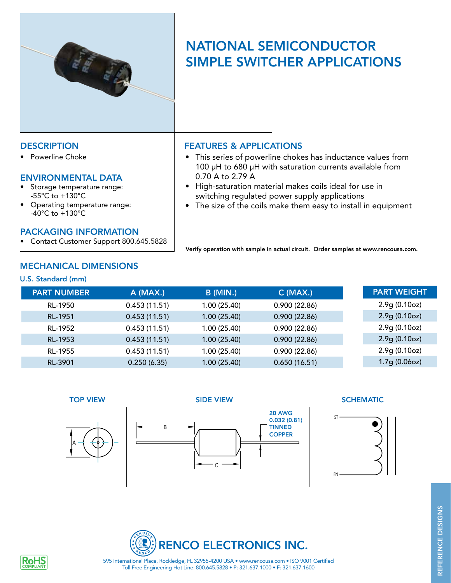

# NATIONAL SEMICONDUCTOR SIMPLE SWITCHER APPLICATIONS

Powerline Choke

## ENVIRONMENTAL DATA

- Storage temperature range: -55°C to +130°C
- Operating temperature range:  $-40^{\circ}$ C to  $+130^{\circ}$ C

### PACKAGING INFORMATION

• Contact Customer Support 800.645.5828

## DESCRIPTION FEATURES & APPLICATIONS

- This series of powerline chokes has inductance values from 100 µH to 680 µH with saturation currents available from 0.70 A to 2.79 A
- • High-saturation material makes coils ideal for use in switching regulated power supply applications
- The size of the coils make them easy to install in equipment

Verify operation with sample in actual circuit. Order samples at www.rencousa.com.

# MECHANICAL DIMENSIONS

### U.S. Standard (mm)

| <b>PART NUMBER</b> | $A$ (MAX.)   | <b>B</b> (MIN.) | $C$ (MAX.)   | <b>PART WEIGHT</b> |
|--------------------|--------------|-----------------|--------------|--------------------|
| RL-1950            | 0.453(11.51) | 1.00 (25.40)    | 0.900(22.86) | 2.9g(0.10oz)       |
| RL-1951            | 0.453(11.51) | 1.00(25.40)     | 0.900(22.86) | 2.9g(0.10oz)       |
| RL-1952            | 0.453(11.51) | 1.00(25.40)     | 0.900(22.86) | 2.9g(0.10oz)       |
| RL-1953            | 0.453(11.51) | 1.00 (25.40)    | 0.900(22.86) | 2.9g(0.10oz)       |
| RL-1955            | 0.453(11.51) | 1.00(25.40)     | 0.900(22.86) | 2.9g(0.10oz)       |
| RL-3901            | 0.250(6.35)  | 1.00 (25.40)    | 0.650(16.51) | 1.7g(0.06oz)       |





### TOP VIEW SIDE VIEW SIDE VIEW SCHEMATIC





Toll Free Engineering Hot Line: 800.645.5828 • P: 321.637.1000 • F: 321.637.1600 595 International Place, Rockledge, FL 32955-4200 USA • www.rencousa.com • ISO 9001 Certified